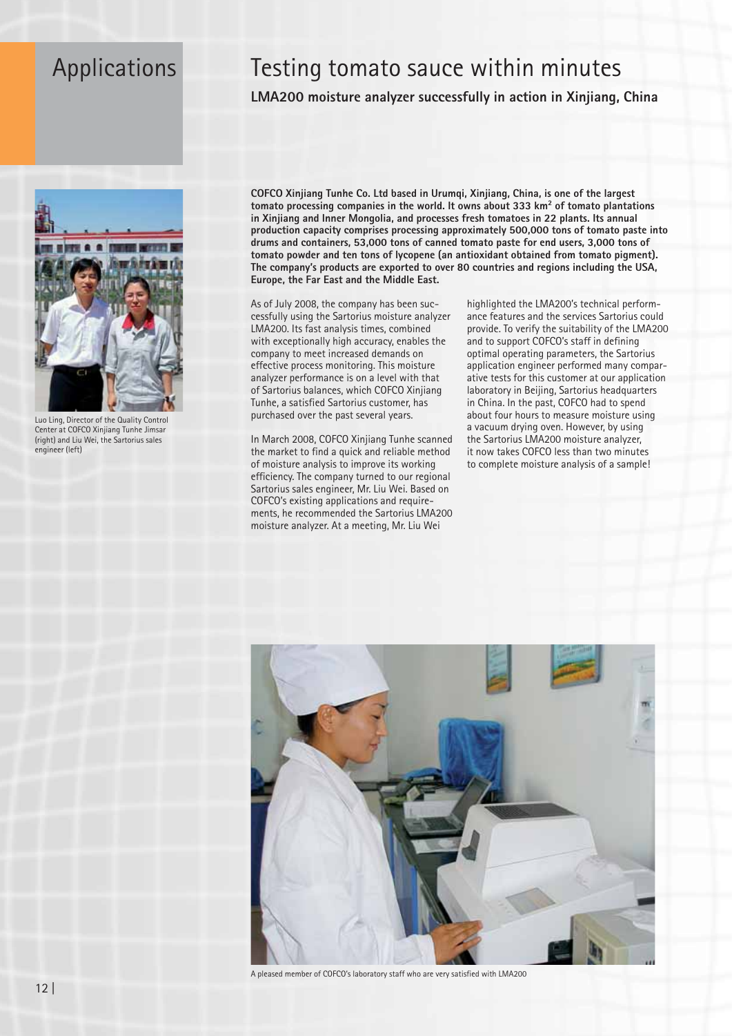## Applications

## Testing tomato sauce within minutes

LMA200 moisture analyzer successfully in action in Xinjiang, China



Luo Ling, Director of the Quality Control Center at COFCO Xinjiang Tunhe Jimsar (right) and Liu Wei, the Sartorius sales engineer (left)

COFCO Xinjiang Tunhe Co. Ltd based in Urumqi, Xinjiang, China, is one of the largest tomato processing companies in the world. It owns about 333 km<sup>2</sup> of tomato plantations in Xinjiang and Inner Mongolia, and processes fresh tomatoes in 22 plants. Its annual production capacity comprises processing approximately 500,000 tons of tomato paste into drums and containers, 53,000 tons of canned tomato paste for end users, 3,000 tons of tomato powder and ten tons of lycopene (an antioxidant obtained from tomato pigment). The company's products are exported to over 80 countries and regions including the USA, Europe, the Far East and the Middle East.

As of July 2008, the company has been successfully using the Sartorius moisture analyzer LMA200. Its fast analysis times, combined with exceptionally high accuracy, enables the company to meet increased demands on effective process monitoring. This moisture analyzer performance is on a level with that of Sartorius balances, which COFCO Xinjiang Tunhe, a satisfied Sartorius customer, has purchased over the past several years.

In March 2008, COFCO Xinjiang Tunhe scanned the market to find a quick and reliable method of moisture analysis to improve its working efficiency. The company turned to our regional Sartorius sales engineer, Mr. Liu Wei. Based on COFCO's existing applications and requirements, he recommended the Sartorius LMA200 moisture analyzer. At a meeting, Mr. Liu Wei

highlighted the LMA200's technical performance features and the services Sartorius could provide. To verify the suitability of the LMA200 and to support COFCO's staff in defining optimal operating parameters, the Sartorius application engineer performed many comparative tests for this customer at our application laboratory in Beijing, Sartorius headquarters in China. In the past, COFCO had to spend about four hours to measure moisture using a vacuum drying oven. However, by using the Sartorius LMA200 moisture analyzer, it now takes COFCO less than two minutes to complete moisture analysis of a sample!



A pleased member of COFCO's laboratory staff who are very satisfied with LMA200